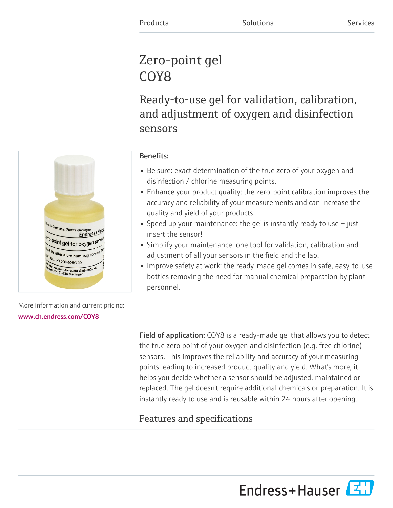## Zero-point gel COY<sub>8</sub>

Ready-to-use gel for validation, calibration, and adjustment of oxygen and disinfection sensors



## Benefits:

- Be sure: exact determination of the true zero of your oxygen and disinfection / chlorine measuring points.
- Enhance your product quality: the zero-point calibration improves the accuracy and reliability of your measurements and can increase the quality and yield of your products.
- Speed up your maintenance: the gel is instantly ready to use  $-$  just insert the sensor!
- Simplify your maintenance: one tool for validation, calibration and adjustment of all your sensors in the field and the lab.
- Improve safety at work: the ready-made gel comes in safe, easy-to-use bottles removing the need for manual chemical preparation by plant personnel.

More information and current pricing: [www.ch.endress.com/COY8](https://www.ch.endress.com/COY8)

> Field of application: COY8 is a ready-made gel that allows you to detect the true zero point of your oxygen and disinfection (e.g. free chlorine) sensors. This improves the reliability and accuracy of your measuring points leading to increased product quality and yield. What's more, it helps you decide whether a sensor should be adjusted, maintained or replaced. The gel doesn't require additional chemicals or preparation. It is instantly ready to use and is reusable within 24 hours after opening.

## Features and specifications